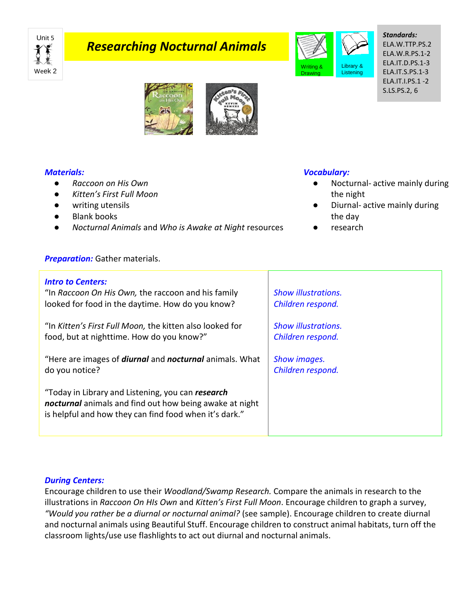

# *Researching Nocturnal Animals*



*Standards:* ELA.W.TTP.PS.2 ELA.W.R.PS.1-2 ELA.IT.D.PS.1-3 ELA.IT.S.PS.1-3 ELA.IT.I.PS.1 -2 S.LS.PS.2, 6



## *Materials:*

- *Raccoon on His Own*
- *Kitten's First Full Moon*
- writing utensils
- **Blank books**
- *Nocturnal Animals* and *Who is Awake at Night* resources

#### *Preparation:* Gather materials.

#### *Intro to Centers:* "In *Raccoon On His Own,* the raccoon and his family looked for food in the daytime. How do you know? "In *Kitten's First Full Moon,* the kitten also looked for food, but at nighttime. How do you know?" "Here are images of *diurnal* and *nocturnal* animals. What do you notice? "Today in Library and Listening, you can *research nocturnal* animals and find out how being awake at night is helpful and how they can find food when it's dark." *Show illustrations. Children respond. Show illustrations. Children respond. Show images. Children respond.*

## *During Centers:*

Encourage children to use their *Woodland/Swamp Research.* Compare the animals in research to the illustrations in *Raccoon On HIs Own* and *Kitten's First Full Moon*. Encourage children to graph a survey, *"Would you rather be a diurnal or nocturnal animal?* (see sample). Encourage children to create diurnal and nocturnal animals using Beautiful Stuff. Encourage children to construct animal habitats, turn off the classroom lights/use use flashlights to act out diurnal and nocturnal animals.

## *Vocabulary:*

- Nocturnal- active mainly during the night
- Diurnal- active mainly during the day
- research